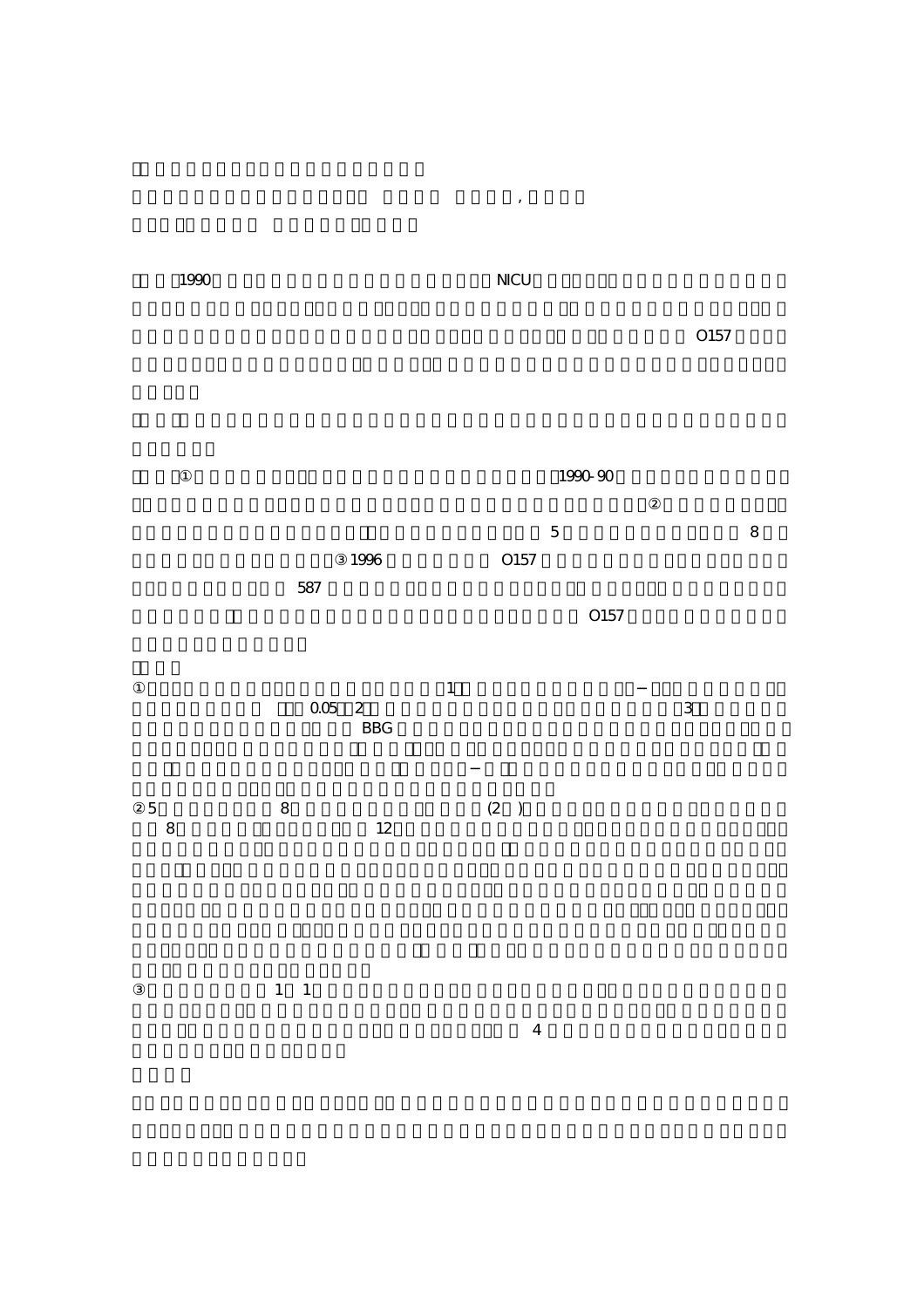

 $\mathcal{A}$ 

 $\sim$  0157 under which consider the constant of  $\sim$  0157 under  $\sim$ 

 $1990-90$ 

 $\overline{5}$  8  $\overline{8}$  $1996$   $0157$  $-587$   $-587$  $\sim$  0157 up to  $\sim$  0157 up to  $\sim$  0157 up to  $\sim$ 

 $\Box$ BBG、地名のみられた点は、1)  $\overline{005}$  (2)  $\overline{100}$   $\overline{2}$   $\overline{3}$  $\overline{\phantom{a}}$  BBG  $\overline{\phantom{a}}$ 

 $5$  8  $\phantom{00}$   $(2)$  $8 \t\t 12$ 

 $\blacksquare$ 1 1  $\overline{4}$